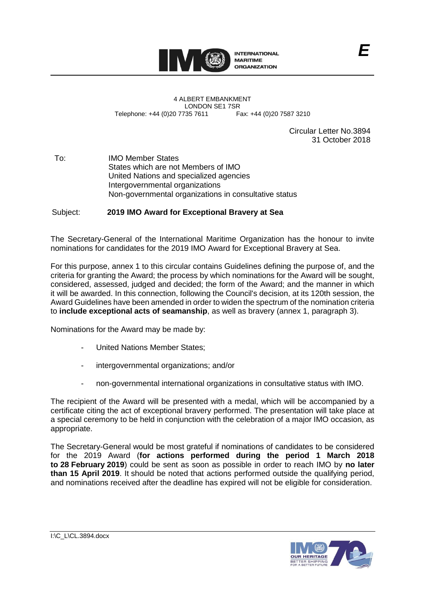

4 ALBERT EMBANKMENT LONDON SE1 7SR<br>735 7611 Fax: +44 (0)20 7587 3210 Telephone: +44 (0)20 7735 7611

Circular Letter No.3894 31 October 2018

*E*

To: IMO Member States States which are not Members of IMO United Nations and specialized agencies Intergovernmental organizations Non-governmental organizations in consultative status

Subject: **2019 IMO Award for Exceptional Bravery at Sea**

The Secretary-General of the International Maritime Organization has the honour to invite nominations for candidates for the 2019 IMO Award for Exceptional Bravery at Sea.

For this purpose, annex 1 to this circular contains Guidelines defining the purpose of, and the criteria for granting the Award; the process by which nominations for the Award will be sought, considered, assessed, judged and decided; the form of the Award; and the manner in which it will be awarded. In this connection, following the Council's decision, at its 120th session, the Award Guidelines have been amended in order to widen the spectrum of the nomination criteria to **include exceptional acts of seamanship**, as well as bravery (annex 1, paragraph 3).

Nominations for the Award may be made by:

- United Nations Member States;
- intergovernmental organizations; and/or
- non-governmental international organizations in consultative status with IMO.

The recipient of the Award will be presented with a medal, which will be accompanied by a certificate citing the act of exceptional bravery performed. The presentation will take place at a special ceremony to be held in conjunction with the celebration of a major IMO occasion, as appropriate.

The Secretary-General would be most grateful if nominations of candidates to be considered for the 2019 Award (**for actions performed during the period 1 March 2018 to 28 February 2019**) could be sent as soon as possible in order to reach IMO by **no later than 15 April 2019**. It should be noted that actions performed outside the qualifying period, and nominations received after the deadline has expired will not be eligible for consideration.

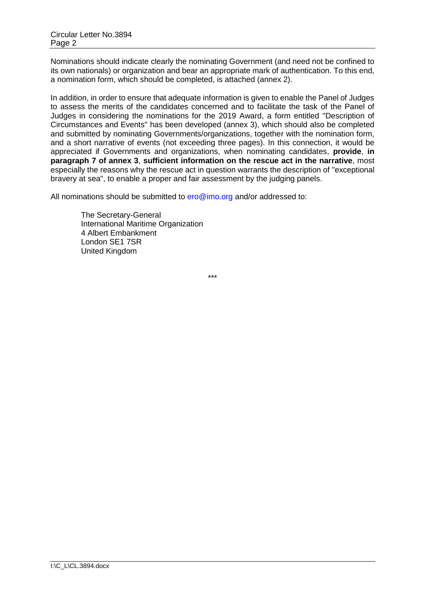Nominations should indicate clearly the nominating Government (and need not be confined to its own nationals) or organization and bear an appropriate mark of authentication. To this end, a nomination form, which should be completed, is attached (annex 2).

In addition, in order to ensure that adequate information is given to enable the Panel of Judges to assess the merits of the candidates concerned and to facilitate the task of the Panel of Judges in considering the nominations for the 2019 Award, a form entitled "Description of Circumstances and Events" has been developed (annex 3), which should also be completed and submitted by nominating Governments/organizations, together with the nomination form, and a short narrative of events (not exceeding three pages). In this connection, it would be appreciated if Governments and organizations, when nominating candidates, **provide**, **in paragraph 7 of annex 3**, **sufficient information on the rescue act in the narrative**, most especially the reasons why the rescue act in question warrants the description of "exceptional bravery at sea", to enable a proper and fair assessment by the judging panels.

All nominations should be submitted to ero@imo.org and/or addressed to:

The Secretary-General International Maritime Organization 4 Albert Embankment London SE1 7SR United Kingdom

\*\*\*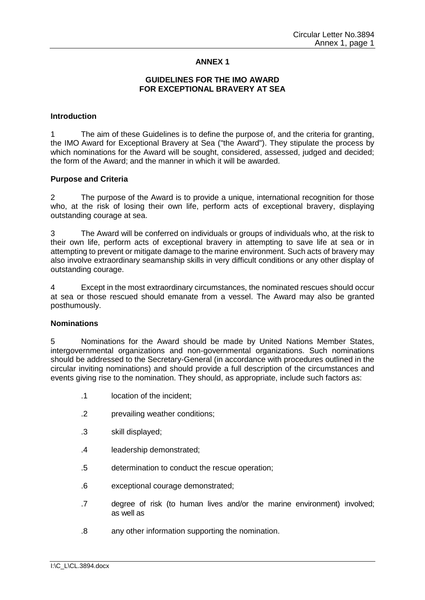# **ANNEX 1**

## **GUIDELINES FOR THE IMO AWARD FOR EXCEPTIONAL BRAVERY AT SEA**

### **Introduction**

1 The aim of these Guidelines is to define the purpose of, and the criteria for granting, the IMO Award for Exceptional Bravery at Sea ("the Award"). They stipulate the process by which nominations for the Award will be sought, considered, assessed, judged and decided; the form of the Award; and the manner in which it will be awarded.

#### **Purpose and Criteria**

2 The purpose of the Award is to provide a unique, international recognition for those who, at the risk of losing their own life, perform acts of exceptional bravery, displaying outstanding courage at sea.

3 The Award will be conferred on individuals or groups of individuals who, at the risk to their own life, perform acts of exceptional bravery in attempting to save life at sea or in attempting to prevent or mitigate damage to the marine environment. Such acts of bravery may also involve extraordinary seamanship skills in very difficult conditions or any other display of outstanding courage.

4 Except in the most extraordinary circumstances, the nominated rescues should occur at sea or those rescued should emanate from a vessel. The Award may also be granted posthumously.

#### **Nominations**

5 Nominations for the Award should be made by United Nations Member States, intergovernmental organizations and non-governmental organizations. Such nominations should be addressed to the Secretary-General (in accordance with procedures outlined in the circular inviting nominations) and should provide a full description of the circumstances and events giving rise to the nomination. They should, as appropriate, include such factors as:

- .1 location of the incident;
- .2 prevailing weather conditions;
- .3 skill displayed;
- .4 leadership demonstrated;
- .5 determination to conduct the rescue operation;
- .6 exceptional courage demonstrated;
- .7 degree of risk (to human lives and/or the marine environment) involved; as well as
- .8 any other information supporting the nomination.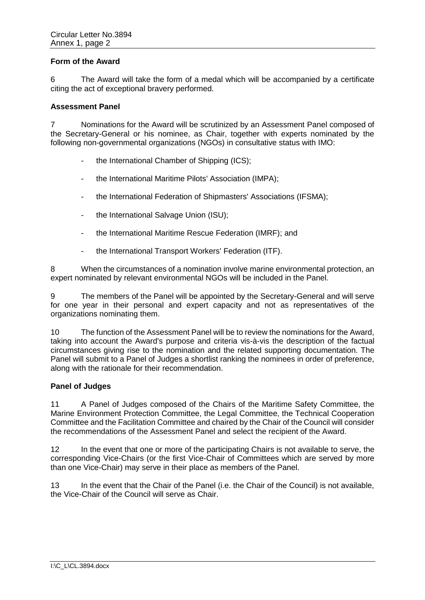## **Form of the Award**

6 The Award will take the form of a medal which will be accompanied by a certificate citing the act of exceptional bravery performed.

#### **Assessment Panel**

7 Nominations for the Award will be scrutinized by an Assessment Panel composed of the Secretary-General or his nominee, as Chair, together with experts nominated by the following non-governmental organizations (NGOs) in consultative status with IMO:

- the International Chamber of Shipping (ICS);
- the International Maritime Pilots' Association (IMPA);
- the International Federation of Shipmasters' Associations (IFSMA);
- the International Salvage Union (ISU);
- the International Maritime Rescue Federation (IMRF); and
- the International Transport Workers' Federation (ITF).

8 When the circumstances of a nomination involve marine environmental protection, an expert nominated by relevant environmental NGOs will be included in the Panel.

9 The members of the Panel will be appointed by the Secretary-General and will serve for one year in their personal and expert capacity and not as representatives of the organizations nominating them.

10 The function of the Assessment Panel will be to review the nominations for the Award, taking into account the Award's purpose and criteria vis-à-vis the description of the factual circumstances giving rise to the nomination and the related supporting documentation. The Panel will submit to a Panel of Judges a shortlist ranking the nominees in order of preference, along with the rationale for their recommendation.

## **Panel of Judges**

11 A Panel of Judges composed of the Chairs of the Maritime Safety Committee, the Marine Environment Protection Committee, the Legal Committee, the Technical Cooperation Committee and the Facilitation Committee and chaired by the Chair of the Council will consider the recommendations of the Assessment Panel and select the recipient of the Award.

12 In the event that one or more of the participating Chairs is not available to serve, the corresponding Vice-Chairs (or the first Vice-Chair of Committees which are served by more than one Vice-Chair) may serve in their place as members of the Panel.

13 In the event that the Chair of the Panel (i.e. the Chair of the Council) is not available, the Vice-Chair of the Council will serve as Chair.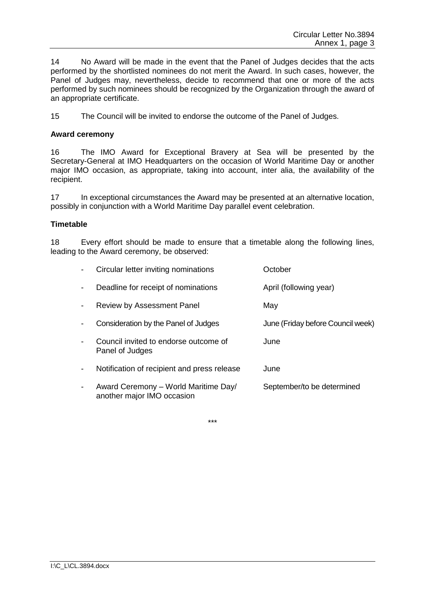14 No Award will be made in the event that the Panel of Judges decides that the acts performed by the shortlisted nominees do not merit the Award. In such cases, however, the Panel of Judges may, nevertheless, decide to recommend that one or more of the acts performed by such nominees should be recognized by the Organization through the award of an appropriate certificate.

15 The Council will be invited to endorse the outcome of the Panel of Judges.

## **Award ceremony**

16 The IMO Award for Exceptional Bravery at Sea will be presented by the Secretary-General at IMO Headquarters on the occasion of World Maritime Day or another major IMO occasion, as appropriate, taking into account, inter alia, the availability of the recipient.

17 In exceptional circumstances the Award may be presented at an alternative location, possibly in conjunction with a World Maritime Day parallel event celebration.

## **Timetable**

18 Every effort should be made to ensure that a timetable along the following lines, leading to the Award ceremony, be observed:

|   | Circular letter inviting nominations                               | October                           |
|---|--------------------------------------------------------------------|-----------------------------------|
|   | Deadline for receipt of nominations                                | April (following year)            |
|   | <b>Review by Assessment Panel</b>                                  | May                               |
|   | Consideration by the Panel of Judges                               | June (Friday before Council week) |
|   | Council invited to endorse outcome of<br>Panel of Judges           | June                              |
|   | Notification of recipient and press release                        | June                              |
| - | Award Ceremony - World Maritime Day/<br>another major IMO occasion | September/to be determined        |

\*\*\*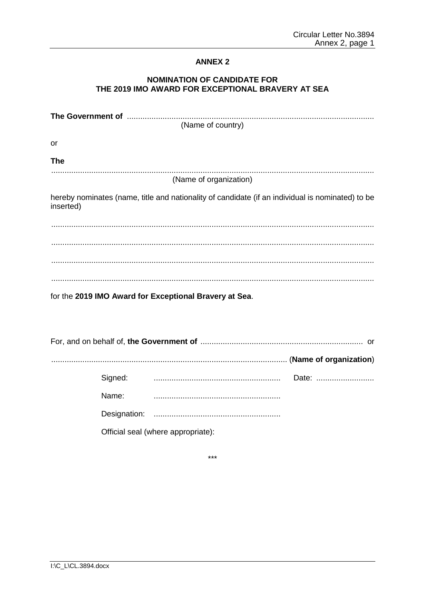# **ANNEX 2**

# **NOMINATION OF CANDIDATE FOR** THE 2019 IMO AWARD FOR EXCEPTIONAL BRAVERY AT SEA

| (Name of country)                                                                                             |  |  |
|---------------------------------------------------------------------------------------------------------------|--|--|
| or                                                                                                            |  |  |
| <b>The</b>                                                                                                    |  |  |
| (Name of organization)                                                                                        |  |  |
| hereby nominates (name, title and nationality of candidate (if an individual is nominated) to be<br>inserted) |  |  |
|                                                                                                               |  |  |
|                                                                                                               |  |  |
|                                                                                                               |  |  |
|                                                                                                               |  |  |
| for the 2019 IMO Award for Exceptional Bravery at Sea.                                                        |  |  |
|                                                                                                               |  |  |
|                                                                                                               |  |  |
|                                                                                                               |  |  |
| Signed:                                                                                                       |  |  |
| Name:                                                                                                         |  |  |

Official seal (where appropriate):

 $***$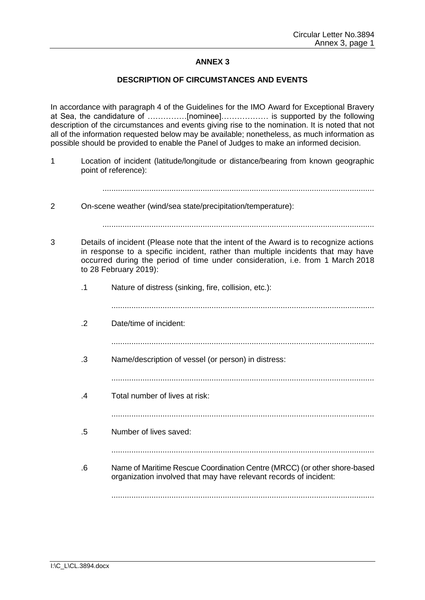# **ANNEX 3**

## **DESCRIPTION OF CIRCUMSTANCES AND EVENTS**

In accordance with paragraph 4 of the Guidelines for the IMO Award for Exceptional Bravery at Sea, the candidature of ……………[nominee]……………… is supported by the following description of the circumstances and events giving rise to the nomination. It is noted that not all of the information requested below may be available; nonetheless, as much information as possible should be provided to enable the Panel of Judges to make an informed decision.

1 Location of incident (latitude/longitude or distance/bearing from known geographic point of reference):

..........................................................................................................................

2 On-scene weather (wind/sea state/precipitation/temperature):

- 3 Details of incident (Please note that the intent of the Award is to recognize actions in response to a specific incident, rather than multiple incidents that may have occurred during the period of time under consideration, i.e. from 1 March 2018 to 28 February 2019):
	- .1 Nature of distress (sinking, fire, collision, etc.):
		- ......................................................................................................................
	- .2 Date/time of incident:
		- ......................................................................................................................
	- .3 Name/description of vessel (or person) in distress:
		- ......................................................................................................................
	- .4 Total number of lives at risk:

......................................................................................................................

- .5 Number of lives saved:
	-
- .6 Name of Maritime Rescue Coordination Centre (MRCC) (or other shore-based organization involved that may have relevant records of incident:

......................................................................................................................